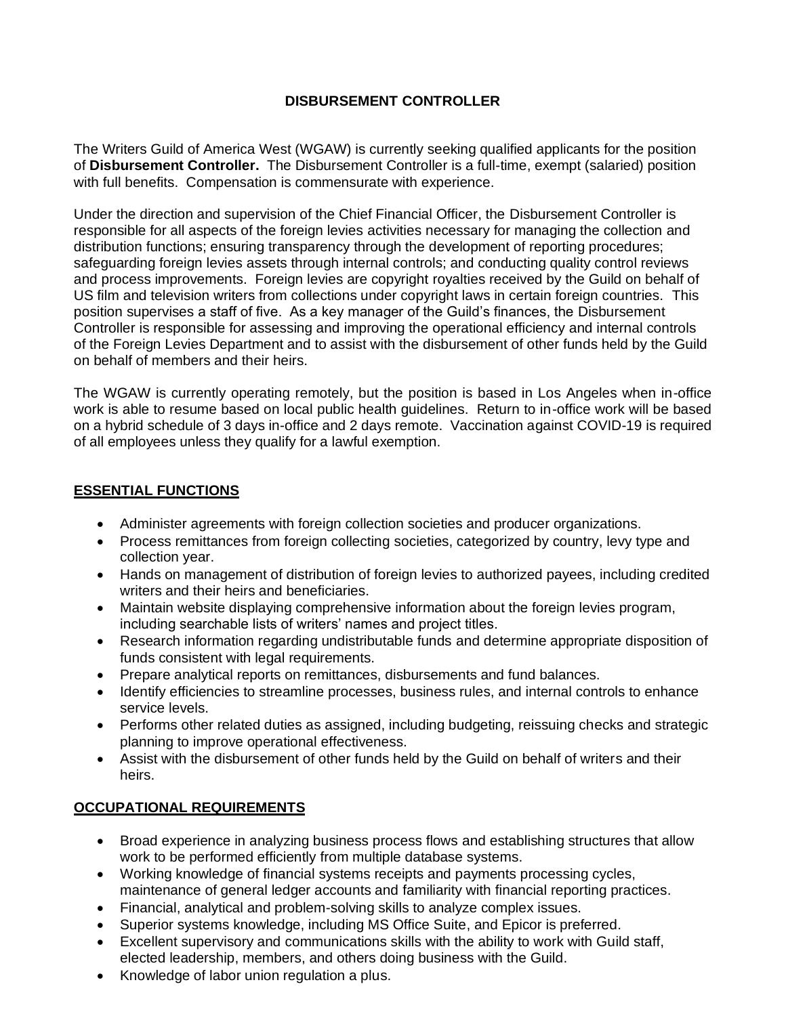## **DISBURSEMENT CONTROLLER**

The Writers Guild of America West (WGAW) is currently seeking qualified applicants for the position of **Disbursement Controller.** The Disbursement Controller is a full-time, exempt (salaried) position with full benefits. Compensation is commensurate with experience.

Under the direction and supervision of the Chief Financial Officer, the Disbursement Controller is responsible for all aspects of the foreign levies activities necessary for managing the collection and distribution functions; ensuring transparency through the development of reporting procedures; safeguarding foreign levies assets through internal controls; and conducting quality control reviews and process improvements. Foreign levies are copyright royalties received by the Guild on behalf of US film and television writers from collections under copyright laws in certain foreign countries. This position supervises a staff of five. As a key manager of the Guild's finances, the Disbursement Controller is responsible for assessing and improving the operational efficiency and internal controls of the Foreign Levies Department and to assist with the disbursement of other funds held by the Guild on behalf of members and their heirs.

The WGAW is currently operating remotely, but the position is based in Los Angeles when in-office work is able to resume based on local public health guidelines. Return to in-office work will be based on a hybrid schedule of 3 days in-office and 2 days remote. Vaccination against COVID-19 is required of all employees unless they qualify for a lawful exemption.

## **ESSENTIAL FUNCTIONS**

- Administer agreements with foreign collection societies and producer organizations.
- Process remittances from foreign collecting societies, categorized by country, levy type and collection year.
- Hands on management of distribution of foreign levies to authorized payees, including credited writers and their heirs and beneficiaries.
- Maintain website displaying comprehensive information about the foreign levies program, including searchable lists of writers' names and project titles.
- Research information regarding undistributable funds and determine appropriate disposition of funds consistent with legal requirements.
- Prepare analytical reports on remittances, disbursements and fund balances.
- Identify efficiencies to streamline processes, business rules, and internal controls to enhance service levels.
- Performs other related duties as assigned, including budgeting, reissuing checks and strategic planning to improve operational effectiveness.
- Assist with the disbursement of other funds held by the Guild on behalf of writers and their heirs.

## **OCCUPATIONAL REQUIREMENTS**

- Broad experience in analyzing business process flows and establishing structures that allow work to be performed efficiently from multiple database systems.
- Working knowledge of financial systems receipts and payments processing cycles, maintenance of general ledger accounts and familiarity with financial reporting practices.
- Financial, analytical and problem-solving skills to analyze complex issues.
- Superior systems knowledge, including MS Office Suite, and Epicor is preferred.
- Excellent supervisory and communications skills with the ability to work with Guild staff, elected leadership, members, and others doing business with the Guild.
- Knowledge of labor union regulation a plus.